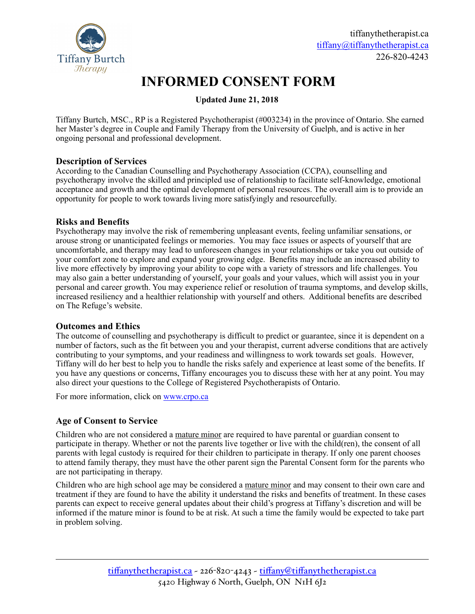

# **INFORMED CONSENT FORM**

# **Updated June 21, 2018**

Tiffany Burtch, MSC., RP is a Registered Psychotherapist (#003234) in the province of Ontario. She earned her Master's degree in Couple and Family Therapy from the University of Guelph, and is active in her ongoing personal and professional development.

# **Description of Services**

According to the Canadian Counselling and Psychotherapy Association (CCPA), counselling and psychotherapy involve the skilled and principled use of relationship to facilitate self-knowledge, emotional acceptance and growth and the optimal development of personal resources. The overall aim is to provide an opportunity for people to work towards living more satisfyingly and resourcefully.

# **Risks and Benefits**

Psychotherapy may involve the risk of remembering unpleasant events, feeling unfamiliar sensations, or arouse strong or unanticipated feelings or memories. You may face issues or aspects of yourself that are uncomfortable, and therapy may lead to unforeseen changes in your relationships or take you out outside of your comfort zone to explore and expand your growing edge. Benefits may include an increased ability to live more effectively by improving your ability to cope with a variety of stressors and life challenges. You may also gain a better understanding of yourself, your goals and your values, which will assist you in your personal and career growth. You may experience relief or resolution of trauma symptoms, and develop skills, increased resiliency and a healthier relationship with yourself and others. Additional benefits are described on The Refuge's website.

# **Outcomes and Ethics**

The outcome of counselling and psychotherapy is difficult to predict or guarantee, since it is dependent on a number of factors, such as the fit between you and your therapist, current adverse conditions that are actively contributing to your symptoms, and your readiness and willingness to work towards set goals. However, Tiffany will do her best to help you to handle the risks safely and experience at least some of the benefits. If you have any questions or concerns, Tiffany encourages you to discuss these with her at any point. You may also direct your questions to the College of Registered Psychotherapists of Ontario.

For more information, click on [www.crpo.ca](http://www.crpo.ca)

# **Age of Consent to Service**

Children who are not considered a mature minor are required to have parental or guardian consent to participate in therapy. Whether or not the parents live together or live with the child(ren), the consent of all parents with legal custody is required for their children to participate in therapy. If only one parent chooses to attend family therapy, they must have the other parent sign the Parental Consent form for the parents who are not participating in therapy.

Children who are high school age may be considered a mature minor and may consent to their own care and treatment if they are found to have the ability it understand the risks and benefits of treatment. In these cases parents can expect to receive general updates about their child's progress at Tiffany's discretion and will be informed if the mature minor is found to be at risk. At such a time the family would be expected to take part in problem solving.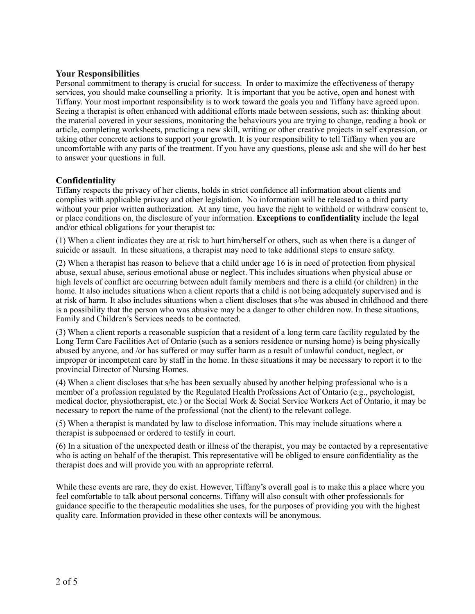## **Your Responsibilities**

Personal commitment to therapy is crucial for success. In order to maximize the effectiveness of therapy services, you should make counselling a priority. It is important that you be active, open and honest with Tiffany. Your most important responsibility is to work toward the goals you and Tiffany have agreed upon. Seeing a therapist is often enhanced with additional efforts made between sessions, such as: thinking about the material covered in your sessions, monitoring the behaviours you are trying to change, reading a book or article, completing worksheets, practicing a new skill, writing or other creative projects in self expression, or taking other concrete actions to support your growth. It is your responsibility to tell Tiffany when you are uncomfortable with any parts of the treatment. If you have any questions, please ask and she will do her best to answer your questions in full.

## **Confidentiality**

Tiffany respects the privacy of her clients, holds in strict confidence all information about clients and complies with applicable privacy and other legislation. No information will be released to a third party without your prior written authorization. At any time, you have the right to withhold or withdraw consent to, or place conditions on, the disclosure of your information. **Exceptions to confidentiality** include the legal and/or ethical obligations for your therapist to:

(1) When a client indicates they are at risk to hurt him/herself or others, such as when there is a danger of suicide or assault. In these situations, a therapist may need to take additional steps to ensure safety.

(2) When a therapist has reason to believe that a child under age 16 is in need of protection from physical abuse, sexual abuse, serious emotional abuse or neglect. This includes situations when physical abuse or high levels of conflict are occurring between adult family members and there is a child (or children) in the home. It also includes situations when a client reports that a child is not being adequately supervised and is at risk of harm. It also includes situations when a client discloses that s/he was abused in childhood and there is a possibility that the person who was abusive may be a danger to other children now. In these situations, Family and Children's Services needs to be contacted.

(3) When a client reports a reasonable suspicion that a resident of a long term care facility regulated by the Long Term Care Facilities Act of Ontario (such as a seniors residence or nursing home) is being physically abused by anyone, and /or has suffered or may suffer harm as a result of unlawful conduct, neglect, or improper or incompetent care by staff in the home. In these situations it may be necessary to report it to the provincial Director of Nursing Homes.

(4) When a client discloses that s/he has been sexually abused by another helping professional who is a member of a profession regulated by the Regulated Health Professions Act of Ontario (e.g., psychologist, medical doctor, physiotherapist, etc.) or the Social Work & Social Service Workers Act of Ontario, it may be necessary to report the name of the professional (not the client) to the relevant college.

(5) When a therapist is mandated by law to disclose information. This may include situations where a therapist is subpoenaed or ordered to testify in court.

(6) In a situation of the unexpected death or illness of the therapist, you may be contacted by a representative who is acting on behalf of the therapist. This representative will be obliged to ensure confidentiality as the therapist does and will provide you with an appropriate referral.

While these events are rare, they do exist. However, Tiffany's overall goal is to make this a place where you feel comfortable to talk about personal concerns. Tiffany will also consult with other professionals for guidance specific to the therapeutic modalities she uses, for the purposes of providing you with the highest quality care. Information provided in these other contexts will be anonymous.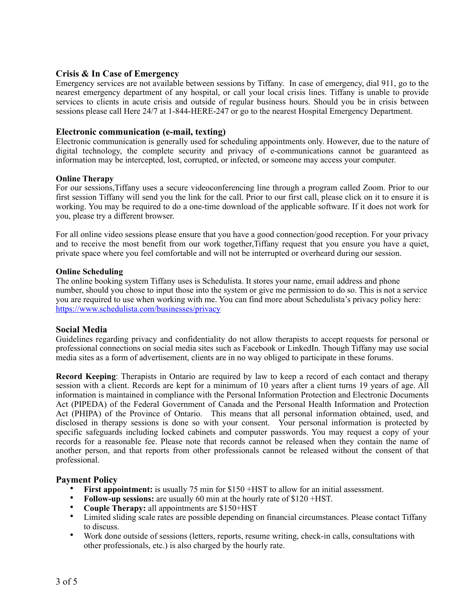## **Crisis & In Case of Emergency**

Emergency services are not available between sessions by Tiffany. In case of emergency, dial 911, go to the nearest emergency department of any hospital, or call your local crisis lines. Tiffany is unable to provide services to clients in acute crisis and outside of regular business hours. Should you be in crisis between sessions please call Here 24/7 at 1-844-HERE-247 or go to the nearest Hospital Emergency Department.

#### **Electronic communication (e-mail, texting)**

Electronic communication is generally used for scheduling appointments only. However, due to the nature of digital technology, the complete security and privacy of e-communications cannot be guaranteed as information may be intercepted, lost, corrupted, or infected, or someone may access your computer.

#### **Online Therapy**

For our sessions,Tiffany uses a secure videoconferencing line through a program called Zoom. Prior to our first session Tiffany will send you the link for the call. Prior to our first call, please click on it to ensure it is working. You may be required to do a one-time download of the applicable software. If it does not work for you, please try a different browser.

For all online video sessions please ensure that you have a good connection/good reception. For your privacy and to receive the most benefit from our work together,Tiffany request that you ensure you have a quiet, private space where you feel comfortable and will not be interrupted or overheard during our session.

#### **Online Scheduling**

The online booking system Tiffany uses is Schedulista. It stores your name, email address and phone number, should you chose to input those into the system or give me permission to do so. This is not a service you are required to use when working with me. You can find more about Schedulista's privacy policy here: <https://www.schedulista.com/businesses/privacy>

#### **Social Media**

Guidelines regarding privacy and confidentiality do not allow therapists to accept requests for personal or professional connections on social media sites such as Facebook or LinkedIn. Though Tiffany may use social media sites as a form of advertisement, clients are in no way obliged to participate in these forums.

**Record Keeping**: Therapists in Ontario are required by law to keep a record of each contact and therapy session with a client. Records are kept for a minimum of 10 years after a client turns 19 years of age. All information is maintained in compliance with the Personal Information Protection and Electronic Documents Act (PIPEDA) of the Federal Government of Canada and the Personal Health Information and Protection Act (PHIPA) of the Province of Ontario. This means that all personal information obtained, used, and disclosed in therapy sessions is done so with your consent. Your personal information is protected by specific safeguards including locked cabinets and computer passwords. You may request a copy of your records for a reasonable fee. Please note that records cannot be released when they contain the name of another person, and that reports from other professionals cannot be released without the consent of that professional.

#### **Payment Policy**

- **First appointment:** is usually 75 min for \$150 +HST to allow for an initial assessment.
- **Follow-up sessions:** are usually 60 min at the hourly rate of \$120 +HST.
- **Couple Therapy:** all appointments are \$150+HST
- Limited sliding scale rates are possible depending on financial circumstances. Please contact Tiffany to discuss.
- Work done outside of sessions (letters, reports, resume writing, check-in calls, consultations with other professionals, etc.) is also charged by the hourly rate.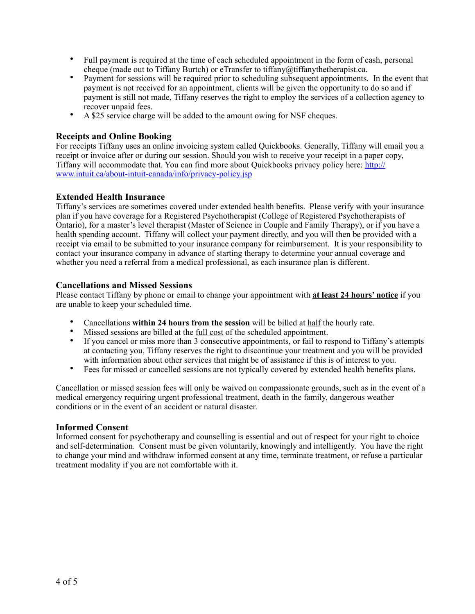- Full payment is required at the time of each scheduled appointment in the form of cash, personal cheque (made out to Tiffany Burtch) or eTransfer to tiffany@tiffanythetherapist.ca.
- Payment for sessions will be required prior to scheduling subsequent appointments. In the event that payment is not received for an appointment, clients will be given the opportunity to do so and if payment is still not made, Tiffany reserves the right to employ the services of a collection agency to recover unpaid fees.
- A \$25 service charge will be added to the amount owing for NSF cheques.

# **Receipts and Online Booking**

For receipts Tiffany uses an online invoicing system called Quickbooks. Generally, Tiffany will email you a receipt or invoice after or during our session. Should you wish to receive your receipt in a paper copy, Tiffany will accommodate that. You can find more about Quickbooks privacy policy here: [http://](http://www.intuit.ca/about-intuit-canada/info/privacy-policy.jsp) [www.intuit.ca/about-intuit-canada/info/privacy-policy.jsp](http://www.intuit.ca/about-intuit-canada/info/privacy-policy.jsp)

# **Extended Health Insurance**

Tiffany's services are sometimes covered under extended health benefits. Please verify with your insurance plan if you have coverage for a Registered Psychotherapist (College of Registered Psychotherapists of Ontario), for a master's level therapist (Master of Science in Couple and Family Therapy), or if you have a health spending account. Tiffany will collect your payment directly, and you will then be provided with a receipt via email to be submitted to your insurance company for reimbursement. It is your responsibility to contact your insurance company in advance of starting therapy to determine your annual coverage and whether you need a referral from a medical professional, as each insurance plan is different.

# **Cancellations and Missed Sessions**

Please contact Tiffany by phone or email to change your appointment with **at least 24 hours' notice** if you are unable to keep your scheduled time.

- Cancellations **within 24 hours from the session** will be billed at half the hourly rate.
- Missed sessions are billed at the <u>full cost</u> of the scheduled appointment.
- If you cancel or miss more than 3 consecutive appointments, or fail to respond to Tiffany's attempts at contacting you, Tiffany reserves the right to discontinue your treatment and you will be provided with information about other services that might be of assistance if this is of interest to you.
- Fees for missed or cancelled sessions are not typically covered by extended health benefits plans.

Cancellation or missed session fees will only be waived on compassionate grounds, such as in the event of a medical emergency requiring urgent professional treatment, death in the family, dangerous weather conditions or in the event of an accident or natural disaster.

# **Informed Consent**

Informed consent for psychotherapy and counselling is essential and out of respect for your right to choice and self-determination. Consent must be given voluntarily, knowingly and intelligently. You have the right to change your mind and withdraw informed consent at any time, terminate treatment, or refuse a particular treatment modality if you are not comfortable with it.